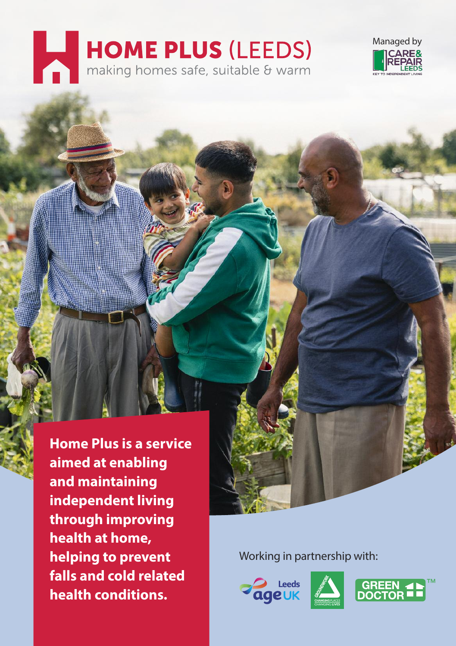# **HOME PLUS (LEEDS)**<br>
making homes safe, suitable & warm



**Home Plus is a service aimed at enabling and maintaining independent living through improving health at home, helping to prevent falls and cold related health conditions.**

Working in partnership with:





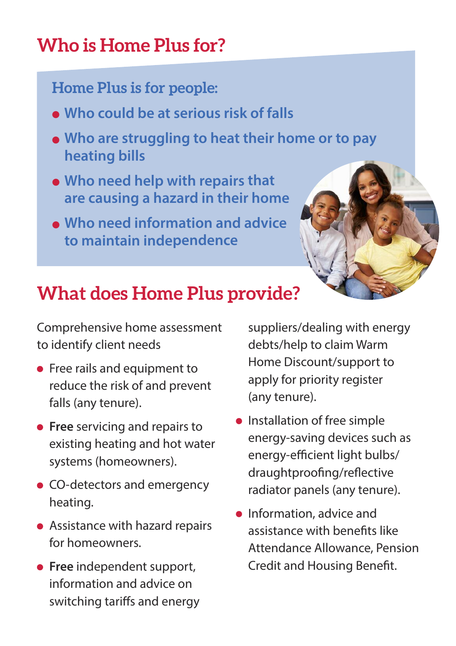# **Who is Home Plus for?**

## **Home Plus is for people:**

- <sup>l</sup> **Who could be at serious risk of falls**
- <sup>l</sup> **Who are struggling to heat their home or to pay heating bills**
- <sup>l</sup> **Who need help with repairs that are causing <sup>a</sup> hazard in their home**
- <sup>l</sup> **Who need information and advice to maintain independence**



## **What does Home Plus provide?**

Comprehensive home assessment to identify client needs

- **•** Free rails and equipment to reduce the risk of and prevent falls (any tenure).
- **Free** servicing and repairs to existing heating and hot water systems (homeowners).
- CO-detectors and emergency heating.
- Assistance with hazard repairs for homeowners.
- **Free** independent support, information and advice on switching tariffs and energy

suppliers/dealing with energy debts/help to claim Warm Home Discount/support to apply for priority register (any tenure).

- $\bullet$  Installation of free simple energy-saving devices such as energy-efficient light bulbs/ draughtproofing/reflective radiator panels (any tenure).
- **•** Information, advice and assistance with benefits like Attendance Allowance, Pension Credit and Housing Benefit.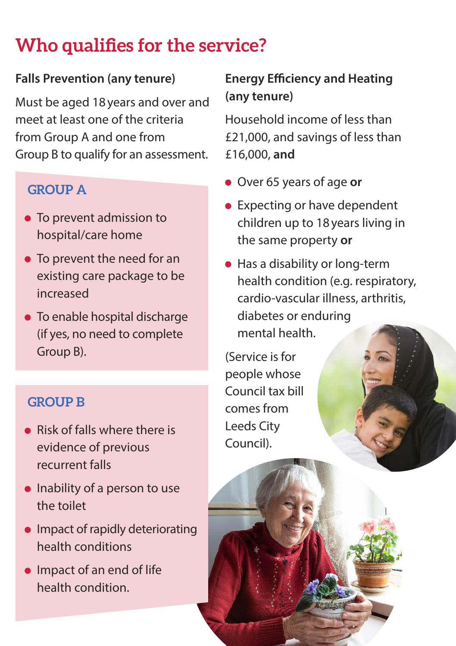# **Who qualifies for the service?**

#### **Falls Prevention (any tenure)**

Must be aged 18years and over and meet at least one of the criteria from Group A and one from Group B to qualify for an assessment.

#### **GROUP A**

- To prevent admission to hospital/care home
- To prevent the need for an existing care package to be increased
- To enable hospital discharge (if yes, no need to complete Group B).

#### **GROUP B**

- Risk of falls where there is evidence of previous recurrent falls
- $\bullet$  Inability of a person to use the toilet
- **•** Impact of rapidly deteriorating health conditions
- **Impact of an end of life** health condition.

### **Energy Efficiency and Heating (any tenure)**

Household income of less than £21,000, and savings of less than £16,000, **and**

- Over 65 years of age **or**
- Expecting or have dependent children up to 18years living in the same property **or**
- Has a disability or long-term health condition (e.g. respiratory, cardio-vascular illness, arthritis, diabetes or enduring mental health.

(Service is for people whose Council tax bill comes from Leeds City Council).